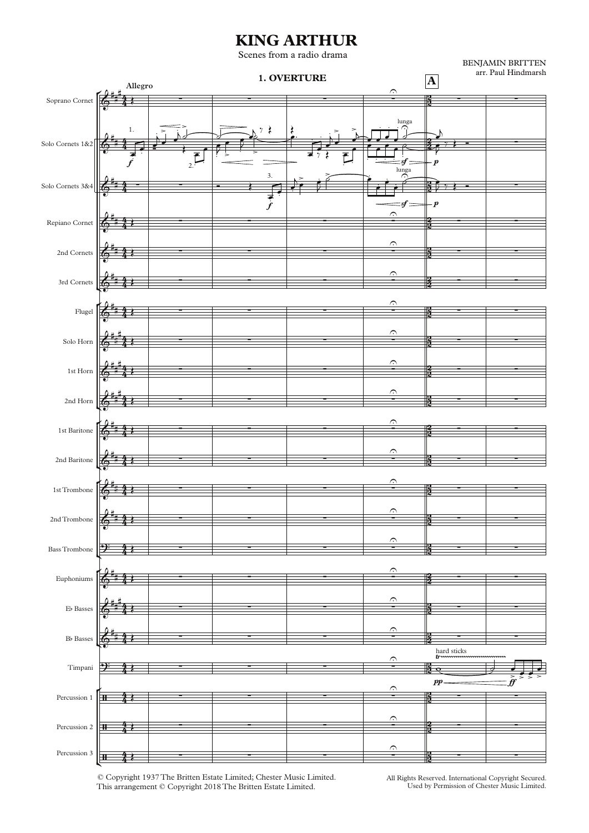## **KING ARTHUR**

Scenes from a radio drama

° ¢ ° ¢ ° ¢ ° ¢ ° ¢ ° ¢ Soprano Cornet Solo Cornets 1&2 Solo Cornets 3&4 Repiano Cornet 2nd Cornets 3rd Cornets Flugel Solo Horn 1st Horn 2nd Horn 1st Baritone 2nd Baritone 1stTrombone 2ndTrombone BassTrombone Euphoniums Eb Basses Bb Basses Timpani Percussion 1 Percussion 2 Percussion 3 **Allegro <sup>A</sup> 1. OVERTURE**  $f \hspace{.2cm} | \hspace{.1cm} \cdot \hspace{.1cm} | \hspace{.1cm} \cdot \hspace{.1cm} | \hspace{.1cm} \cdot \hspace{.1cm} | \hspace{.1cm} \cdot \hspace{.1cm} | \hspace{.1cm} \cdot \hspace{.1cm} | \hspace{.1cm} \cdot \hspace{.1cm} | \hspace{.1cm} \cdot \hspace{.1cm} | \hspace{.1cm} \cdot \hspace{.1cm} |$  $f \qquad \qquad \qquad = f \implies p$  $pp \longrightarrow f \bar{f}$ 4 4 <u>አ</u>  $\frac{2}{3}$ 4  $\frac{4}{4}$ .<br>24  $\frac{2}{2}$ 4 4 ا د⊀  $\frac{2}{2}$ 4 4 .<br>2  $\frac{2}{3}$ 4 4 .<br>2  $\frac{2}{2}$ 4  $\frac{4}{4}$ <u>।</u><br>2  $\frac{2}{2}$ 4  $\frac{4}{4}$ <u>ո</u>  $\frac{2}{2}$ 4 4 <u>)</u><br>२  $\frac{2}{2}$ 4 4 <u>)</u><br>२  $\frac{2}{2}$ 4 4 .<br>2  $\frac{2}{2}$ 4 4 <u>አ</u> 2<br>2<br>2 4 4 .<br>2  $\frac{2}{2}$ 4 4 <u>አ</u>  $\frac{2}{2}$ 4 4 <u>)</u><br>२  $\frac{2}{2}$ 4 4 <u>)</u><br>२  $\frac{2}{2}$ 4 4 <u>بر</u><br>2  $\frac{2}{2}$ 4 4 .<br>2  $\frac{2}{2}$ 4 4 .<br>2  $\frac{2}{2}$ 4 4 <u>بر</u><br>2  $\frac{2}{2}$ 4 4 2  $\frac{2}{2}$ 4 4 .<br>2  $\frac{2}{2}$ 4 4 <u>مبر</u>  $\frac{2}{2}$  $\mathbf{\hat{e}}^*$ #  $\frac{1}{2}$   $\frac{1}{2}$   $\frac{1}{2}$   $\frac{1}{2}$   $\frac{1}{2}$   $\frac{1}{2}$   $\frac{1}{2}$   $\frac{1}{2}$   $\frac{1}{2}$   $\frac{1}{2}$   $\frac{1}{2}$   $\frac{1}{2}$   $\frac{1}{2}$   $\frac{1}{2}$   $\frac{1}{2}$   $\frac{1}{2}$   $\frac{1}{2}$   $\frac{1}{2}$   $\frac{1}{2}$   $\frac{1}{2}$   $\frac{1}{2}$   $\frac{1}{2}$  arr. Paul Hindmarsh  $\mathbf{\hat{e}}^*$ # 1. . .  $\overline{\overline{\phantom{a}}\phantom{a}}$  $\frac{1}{2}$ .  $\frac{1}{2}$  ,  $\frac{1}{2}$  ,  $\frac{1}{2}$  $\mathsf{L}$  $\bigcap_{i=1}^{\text{lung2}}$ . . . . . ∑  $\mathbf{\hat{e}}^*$  $\frac{1}{2}$   $\frac{1}{2}$   $\frac{1}{2}$   $\frac{1}{2}$   $\frac{1}{2}$   $\frac{1}{2}$   $\frac{1}{2}$   $\frac{1}{2}$   $\frac{1}{2}$   $\frac{1}{2}$   $\frac{1}{2}$   $\frac{1}{2}$   $\frac{1}{2}$   $\frac{1}{2}$   $\frac{1}{2}$   $\frac{1}{2}$   $\frac{1}{2}$   $\frac{1}{2}$   $\frac{1}{2}$   $\frac{1}{2}$   $\frac{1}{2}$   $\frac{1}{2}$   $\begin{bmatrix} \bullet \\ \bullet \\ \bullet \end{bmatrix}$  $\sum_{\substack{n=1\\n}}$ . . .  $\begin{array}{c} \begin{array}{c} \overline{1} & \overline{1} \\ \overline{2} & \overline{3} & \overline{1} \end{array} \end{array}$  $\mathbf{\hat{e}}^*$ # <sup>∑</sup> <sup>∑</sup> ∑ ∑U <sup>∑</sup> <sup>∑</sup>  $\delta^*$ # <sup>∑</sup> <sup>∑</sup> ∑ ∑U <sup>∑</sup> <sup>∑</sup>  $\delta^*$ # <sup>∑</sup> <sup>∑</sup> ∑ ∑U <sup>∑</sup> <sup>∑</sup>  $\delta^*$ # <sup>∑</sup> <sup>∑</sup> ∑ ∑U <sup>∑</sup> <sup>∑</sup>  $\delta^*$ # # <sup>∑</sup> <sup>∑</sup> ∑ ∑U <sup>∑</sup> <sup>∑</sup>  $\mathbf{\hat{e}}^*$ # # <sup>∑</sup> <sup>∑</sup> ∑ ∑U <sup>∑</sup> <sup>∑</sup>  $\delta^*$ # # <sup>∑</sup> <sup>∑</sup> ∑ ∑U <sup>∑</sup> <sup>∑</sup>  $\mathbf{\hat{e}}^*$ # <sup>∑</sup> <sup>∑</sup> ∑ ∑U <sup>∑</sup> <sup>∑</sup>  $\delta^*$ # <sup>∑</sup> <sup>∑</sup> ∑ ∑U <sup>∑</sup> <sup>∑</sup>  $\mathbf{\hat{e}}^*$ # <sup>∑</sup> <sup>∑</sup> ∑ ∑U <sup>∑</sup> <sup>∑</sup>  $\delta^*$ # <sup>∑</sup> <sup>∑</sup> ∑ ∑U <sup>∑</sup> <sup>∑</sup> ? <sup>∑</sup> <sup>∑</sup> ∑ ∑U <sup>∑</sup> <sup>∑</sup>  $\mathbf{\hat{e}}^*$ # <sup>∑</sup> <sup>∑</sup> ∑ ∑U <sup>∑</sup> <sup>∑</sup>  $\mathbf{\hat{e}}^*$ # # <sup>∑</sup> <sup>∑</sup> ∑ ∑U <sup>∑</sup> <sup>∑</sup>  $\delta^*$ # <sup>∑</sup> <sup>∑</sup> ∑ ∑U <sup>∑</sup> <sup>∑</sup>  $2^z$   $2^z$   $3^z$   $3^z$   $3^z$   $3^z$   $3^z$   $3^z$   $3^z$   $3^z$   $3^z$   $3^z$   $3^z$   $3^z$   $3^z$   $3^z$   $3^z$   $3^z$   $3^z$   $3^z$   $3^z$   $3^z$   $3^z$   $3^z$   $3^z$   $3^z$   $3^z$   $3^z$   $3^z$   $3^z$   $3^z$   $3^z$   $3^z$   $3^z$   $3^z$   $3^z$   $3^z$  $\frac{1}{\gamma}$   $\frac{1}{\gamma}$   $\frac{1}{\gamma}$   $\frac{1}{\gamma}$   $\frac{1}{\gamma}$  $\frac{4}{4}$   $\frac{1}{2}$   $\frac{1}{2}$   $\frac{1}{2}$   $\frac{1}{2}$   $\frac{1}{2}$   $\frac{1}{2}$   $\frac{1}{2}$   $\frac{1}{2}$   $\frac{1}{2}$   $\frac{1}{2}$   $\frac{1}{2}$   $\frac{1}{2}$   $\frac{1}{2}$   $\frac{1}{2}$   $\frac{1}{2}$   $\frac{1}{2}$   $\frac{1}{2}$   $\frac{1}{2}$   $\frac{1}{2}$   $\frac{1}{2}$   $\frac{1}{2}$   $\frac{4}{4}$   $\frac{1}{2}$   $\frac{1}{2}$   $\frac{1}{2}$   $\frac{1}{2}$   $\frac{1}{2}$   $\frac{1}{2}$   $\frac{1}{2}$   $\frac{1}{2}$   $\frac{1}{2}$   $\frac{1}{2}$   $\frac{1}{2}$   $\frac{1}{2}$   $\frac{1}{2}$   $\frac{1}{2}$   $\frac{1}{2}$   $\frac{1}{2}$   $\frac{1}{2}$   $\frac{1}{2}$   $\frac{1}{2}$   $\frac{1}{2}$   $\frac{1}{2}$   $\frac{4}{4}$   $\frac{1}{2}$   $\frac{1}{2}$   $\frac{1}{2}$   $\frac{1}{2}$   $\frac{1}{2}$   $\frac{1}{2}$   $\frac{1}{2}$   $\frac{1}{2}$   $\frac{1}{2}$   $\frac{1}{2}$   $\frac{1}{2}$   $\frac{1}{2}$   $\frac{1}{2}$   $\frac{1}{2}$   $\frac{1}{2}$   $\frac{1}{2}$   $\frac{1}{2}$   $\frac{1}{2}$   $\frac{1}{2}$   $\frac{1}{2}$   $\frac{1}{2}$  Œ  $\overline{\mathcal{F}}$  $\frac{d}{dx}$ œ  $j \rightarrow j$  $\beta$  $\epsilon$ J œ˙ e™ € Œ  $\mathbf{E}$  $\sqrt{ }$ j ▁▓▅<u>▖▛▛▜▗</u>▅▀<sub>▆</sub><br><sub></sub>▄▗▕▕▁▞▁▞▝░▀▀▓  $\triangleright$ œ j  $\overline{y}$   $\overline{z}$  =  $\begin{array}{c} \begin{array}{c} \text{...} \\ \text{...} \end{array} \end{array}$  $\overline{5}$ J  $\overrightarrow{e}$   $\overrightarrow{e}$   $\overrightarrow{e}$  $\bar{D}$   $\rightarrow$   $\bar{E}$   $-$ Œ Œ Œ Œ Œ Œ Œ Œ Œ Œ Œ Œ Œ Œ Œ  $\mathcal{R}$  is the contract of the contract of  $\mathbb{R}$  . The contract of  $\mathbb{R}$  is the contract of  $\mathbb{R}$  . Œ Œ Œ

> © Copyright 1937The Britten Estate Limited; Chester Music Limited. This arrangement © Copyright 2018The Britten Estate Limited.

All Rights Reserved. International Copyright Secured. Used by Permission of Chester Music Limited.

BENJAMIN BRITTEN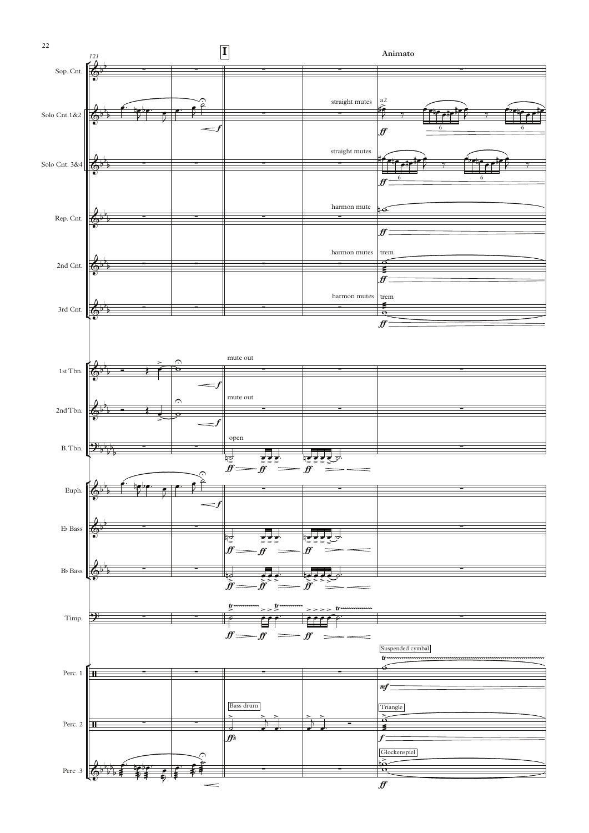